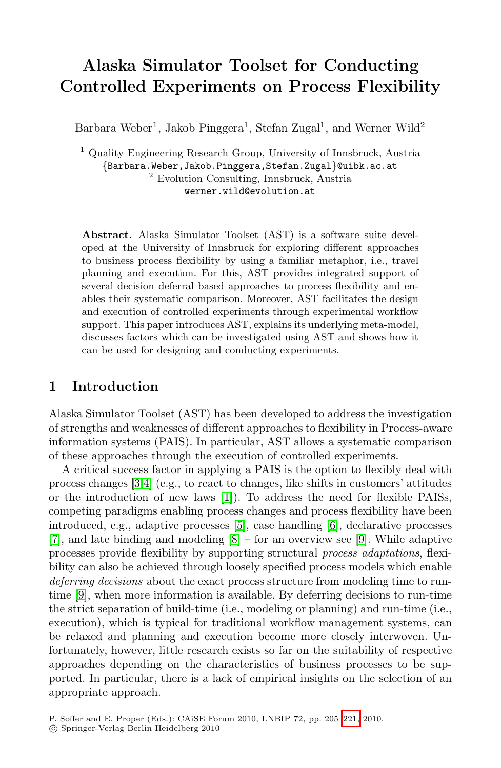# **Alaska Simulator Toolset for Conducting Controlled Experiments on Process Flexibility**

Barbara Weber<sup>1</sup>, Jakob Pinggera<sup>1</sup>, Stefan Zugal<sup>1</sup>, and Werner Wild<sup>2</sup>

<sup>1</sup> Quality Engineering Research Group, University of Innsbruck, Austria *{*Barbara.Weber,Jakob.Pinggera,Stefan.Zugal*}*@uibk.ac.at <sup>2</sup> Evolution Consulting, Innsbruck, Austria werner.wild@evolution.at

**Abstract.** Alaska Simulator Toolset (AST) is a software suite developed at the University of Innsbruck for exploring different approaches to business process flexibility by using a familiar metaphor, i.e., travel planning and execution. For this, AST provides integrated support of several decision deferral based approaches to process flexibility and enables their systematic comparison. Moreover, AST facilitates the design and execution of controlled experiments through experimental workflow support. This paper introduces AST, explains its underlying meta-model, discusses factors which can be investigated using AST and shows how it can be used for designing and conducting experiments.

# **[1](#page-14-0) Introdu[ct](#page-14-1)ion**

Alaska Simulator [To](#page-14-2)olset (AST) has [b](#page-15-0)een developed to address the investigation of strengths and [we](#page-15-1)aknesses of different ap[pr](#page-15-2)oaches to flexibility in Process-aware information systems (PAIS). In particular, AST allows a systematic comparison of these approaches through the execution of controlled experiments.

A critical success factor in applying a PAIS is the option to flexibly deal with process changes [3,4] (e.g., to react to changes, like shifts in customers' attitudes or the introduction of new laws [1]). To address the need for flexible PAISs, competing paradigms enabling process changes and process flexibility have been introduced, e.g., adaptive processes [5], case handling [6], declarative processes [7], and late binding and modeling [8] – for an overview see [9]. While adaptive processes provide flexibility by supporting structural *process adaptations*, flexibility can also be achieved through loosely specified process models which enable *deferring decisions* about the exact process structure from modeling time to runtime [9], when more information is available. By deferring decisions to run-time the strict separation of build-time (i.e., [mod](#page-16-0)eling or planning) and run-time (i.e., execution), which is typical for traditional workflow management systems, can be relaxed and planning and execution become more closely interwoven. Unfortunately, however, little research exists so far on the suitability of respective approaches depending on the characteristics of business processes to be supported. In particular, there is a lack of empirical insights on the selection of an appropriate approach.

P. Soffer and E. Proper (Eds.): CAiSE Forum 2010, LNBIP 72, pp. 205–221, 2010.

<sup>-</sup>c Springer-Verlag Berlin Heidelberg 2010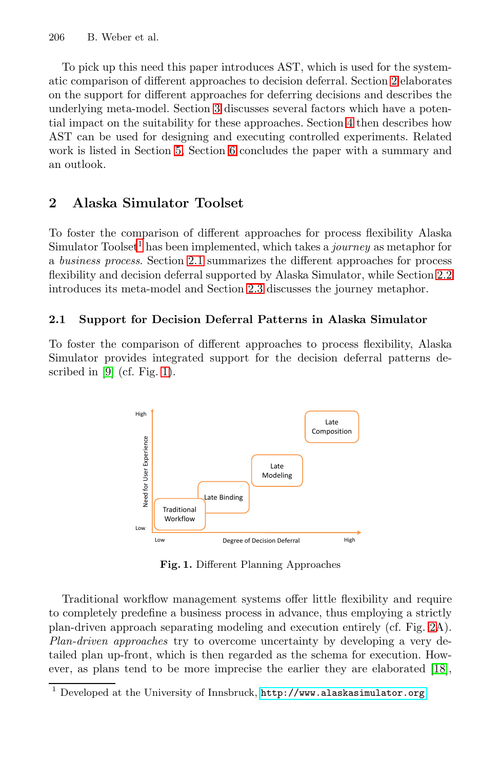To pick up this need this paper introduces AST, which is used for the systematic comparison of different approaches to decision deferral. Section 2 elaborates on the support for different approaches for deferring decisions and describes the underlying meta-model. Section 3 discusses several factors which have a potential impact on the suitability for these approaches. Section 4 then describes how AST can be used for designing and executing controlled experiments. Related work is [liste](#page-1-0)d in Section 5, Section 6 concludes the paper with a summary and an outlook.

# <span id="page-1-0"></span>**2 Alaska Simulator Toolset**

To foster the comparison of different approaches for process flexibility Alaska Simulator Toolset<sup>1</sup> has been implemented, which takes a *journey* as metaphor for a *b[us](#page-1-1)iness process*. Section 2.1 summarizes the different approaches for process flexibility and decision deferral supported by Alaska Simulator, while Section 2.2 introduces its meta-model and Section 2.3 discusses the journey metaphor.

### **2.1 Support for Decision Deferral Patterns in Alaska Simulator**

To foster the comparison of different approaches to process flexibility, Alaska Simulator provides integrated support for the decision deferral patterns described in [9] (cf. Fig. 1).

<span id="page-1-1"></span>

**Fig. 1.** Different Planning Approach[es](#page-15-3)

Traditional workflow management systems offer little flexibility and require to completely predefine a business process in advance, thus employing a strictly plan-driven approach separating modeling and execution entirely (cf. Fig. 2A). *Plan-driven approaches* try to overcome uncertainty by developing a very detailed plan up-front, which is then regarded as the schema for execution. However, as plans tend to be more imprecise the earlier they are elaborated [18],

<sup>&</sup>lt;sup>1</sup> Developed at the University of Innsbruck, http://www.alaskasimulator.org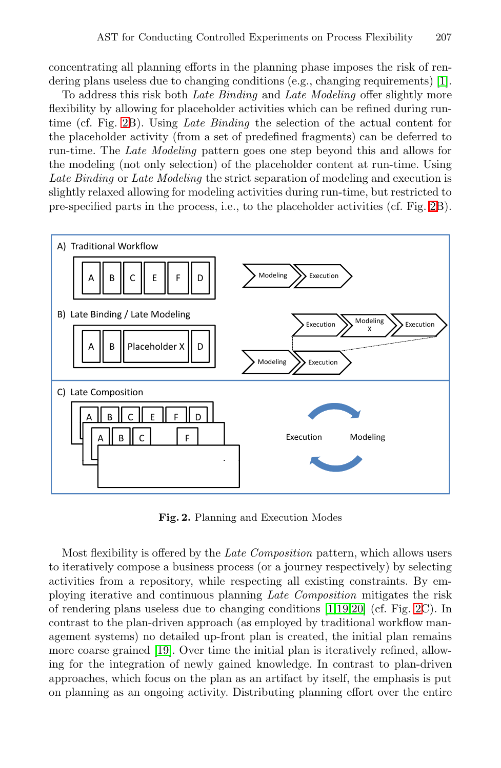concentrating all planning efforts in the planning phase imposes the risk of rendering plans useless due to changing conditions (e.g., changing requirements) [1].

To address this risk both *Late Binding* and *Late Mod[eli](#page-2-0)ng* offer slightly more flexibility by allowing for placeholder activities which can be refined during runtime (cf. Fig. 2B). Using *Late Binding* the selection of the actual content for the placeholder activity (from a set of predefined fragments) can be deferred to run-time. The *Late Modeling* pattern goes one step beyond this and allows for the modeling (not only selection) of the placeholder content at run-time. Using *Late Binding* or *Late Modeling* the strict separation of modeling and execution is slightly relaxed allowing for modeling activities during run-time, but restricted to pre-specified parts in the process, i.e., to the placeholder activities (cf. Fig. 2B).



<span id="page-2-0"></span>**Fig. 2.** Planning and Execution Modes

[Mo](#page-15-4)st flexibility is offered by the *Late Composition* pattern, which allows users to iteratively compose a business process (or a journey respectively) by selecting activities from a repository, while respecting all existing constraints. By employing iterative and continuous planning *Late Composition* mitigates the risk of rendering plans useless due to changing conditions  $[1,19,20]$  (cf. Fig. 2C). In contrast to the plan-driven approach (as employed by traditional workflow management systems) no detailed up-front plan is created, the initial plan remains more coarse grained [19]. Over time the initial plan is iteratively refined, allowing for the integration of newly gained knowledge. In contrast to plan-driven approaches, which focus on the plan as an artifact by itself, the emphasis is put on planning as an ongoing activity. Distributing planning effort over the entire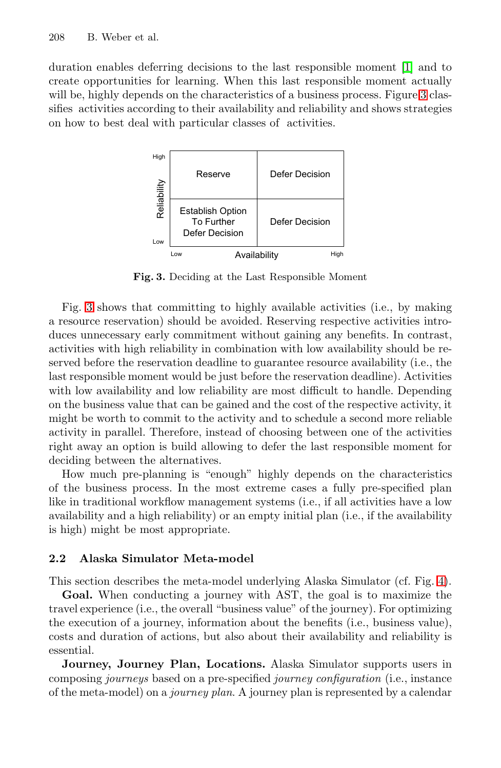duration enables deferring decisions to the last responsible moment [1] and to create opportunities for learning. When this last responsible moment actually will be, highly depends on the characteristics of a business process. Figure 3 classifies activities according to their availability and reliability and shows strategies on how to best deal with particular classes of activities.



**Fig. 3.** Deciding at the Last Responsible Moment

Fig. 3 shows that committing to highly available activities (i.e., by making a resource reservation) should be avoided. Reserving respective activities introduces unnecessary early commitment without gaining any benefits. In contrast, activities with high reliability in combination with low availability should be reserved before the reservation deadline to guarantee resource availability (i.e., the last responsible moment would be just before the reservation deadline). Activities with low availability and low reliability are most difficult to handle. Depending on the business value that can be gained and the cost of the respective activity, it might be worth to commit to the activity and to schedule a second more reliable activity in parallel. Therefore, instead of choosing between one of the activities right away an option is build allowing to defer the last responsible moment for deciding between the alternatives.

<span id="page-3-0"></span>How much pre-planning is "enough" highly depends [on](#page-4-0) the characteristics of the business process. In the most extreme cases a fully pre-specified plan like in traditional workflow management systems (i.e., if all activities have a low availability and a high reliability) or an empty initial plan (i.e., if the availability is high) might be most appropriate.

#### **2.2 Alaska Simulator Meta-model**

This section describes the meta-model underlying Alaska Simulator (cf. Fig. 4).

**Goal.** When conducting a journey with AST, the goal is to maximize the travel experience (i.e., the overall "business value" of the journey). For optimizing the execution of a journey, information about the benefits (i.e., business value), costs and duration of actions, but also about their availability and reliability is essential.

**Journey, Journey Plan, Locations.** Alaska Simulator supports users in composing *journeys* based on a pre-specified *journey configuration* (i.e., instance of the meta-model) on a *journey plan*. A journey plan is represented by a calendar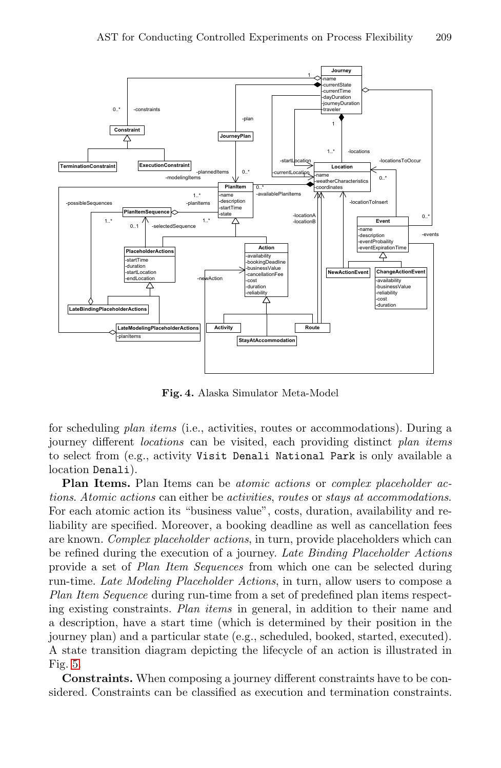

<span id="page-4-0"></span>**Fig. 4.** Alaska Simulator Meta-Model

for scheduling *plan items* (i.e., activities, routes or accommodations). During a journey different *locations* can be visited, each providing distinct *plan items* to select from (e.g., activity Visit Denali National Park is only available a location Denali).

**Plan Items.** Plan Items can be *atomic actions* or *complex placeholder actions*. *Atomic actions* can either be *activities*, *routes* or *stays at accommodations*. For each atomic action its "business value", costs, duration, availability and reliability are specified. Moreover, a booking deadline as well as cancellation fees are known. *Complex placeholder actions*, in turn, provide placeholders which can be refined during the execution of a journey. *Late Binding Placeholder Actions* provide a set of *Plan Item Sequences* from which one can be selected during run-time. *Late Modeling Placeholder Actions*, in turn, allow users to compose a *Plan Item Sequence* during run-time from a set of predefined plan items respecting existing constraints. *Plan items* in general, in addition to their name and a description, have a start time (which is determined by their position in the journey plan) and a particular state (e.g., scheduled, booked, started, executed). A state transition diagram depicting the lifecycle of an action is illustrated in Fig. 5.

**Constraints.** When composing a journey different constraints have to be considered. Constraints can be classified as execution and termination constraints.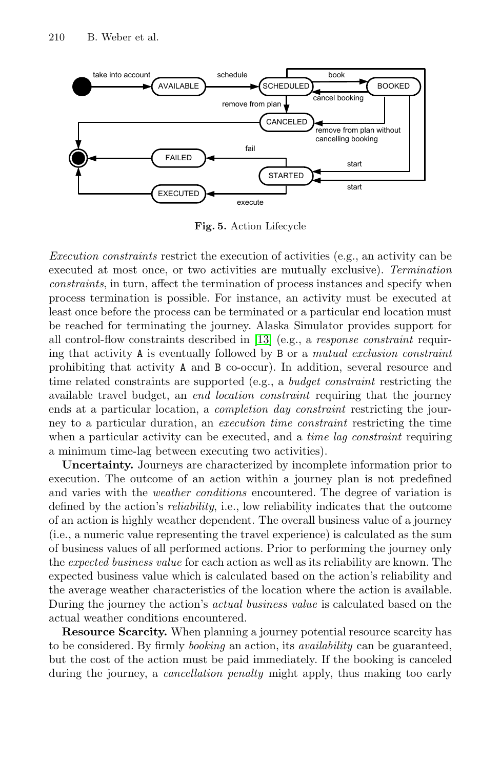

**Fig. 5.** Action Lifecycle

*Execution constraints* restrict the execution of activities (e.g., an activity can be executed at most once, or two activities are mutually exclusive). *Termination constraints*, in turn, affect the termination of process instances and specify when process termination is possible. For instance, an activity must be executed at least once before the process can be terminated or a particular end location must be reached for terminating the journey. Alaska Simulator provides support for all control-flow constraints described in [13] (e.g., a *response constraint* requiring that activity A is eventually followed by B or a *mutual exclusion constraint* prohibiting that activity A and B co-occur). In addition, several resource and time related constraints are supported (e.g., a *budget constraint* restricting the available travel budget, an *end location constraint* requiring that the journey ends at a particular location, a *completion day constraint* restricting the journey to a particular duration, an *execution time constraint* restricting the time when a particular activity can be executed, and a *time lag constraint* requiring a minimum time-lag between executing two activities).

**Uncertainty.** Journeys are characterized by incomplete information prior to execution. The outcome of an action within a journey plan is not predefined and varies with the *weather conditions* encountered. The degree of variation is defined by the action's *reliability*, i.e., low reliability indicates that the outcome of an action is highly weather dependent. The overall business value of a journey (i.e., a numeric value representing the travel experience) is calculated as the sum of business values of all performed actions. Prior to performing the journey only the *expected business value* for each action as well as its reliability are known. The expected business value which is calculated based on the action's reliability and the average weather characteristics of the location where the action is available. During the journey the action's *actual business value* is calculated based on the actual weather conditions encountered.

**Resource Scarcity.** When planning a journey potential resource scarcity has to be considered. By firmly *booking* an action, its *availability* can be guaranteed, but the cost of the action must be paid immediately. If the booking is canceled during the journey, a *cancellation penalty* might apply, thus making too early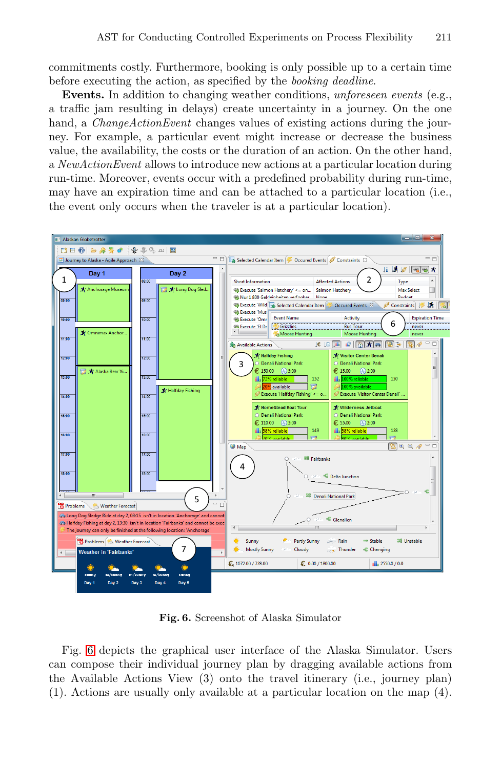commitments costly. Furthermore, booking is only possible up to a certain time before executing the action, as specified by the *booking deadline*.

**Events.** In addition to changing weather conditions, *unforeseen events* (e.g., a traffic jam resulting in delays) create uncertainty in a journey. On the one hand, a *ChangeActionEvent* changes values of existing actions during the journey. For example, a particular event might increase or decrease the business value, the availability, the costs or the duration of an action. On the other hand, a *NewActionEvent* allows to introduce new actions at a particular location during run-time. Moreover, events occur with a predefined probability during run-time, may have an expiration time and can be attached to a particular location (i.e., the event only occurs when the traveler is at a particular location).



**Fig. 6.** Screenshot of Alaska Simulator

Fig. 6 depicts the graphical user interface of the Alaska Simulator. Users can compose their individual journey plan by dragging available actions from the Available Actions View (3) onto the travel itinerary (i.e., journey plan) (1). Actions are usually only available at a particular location on the map (4).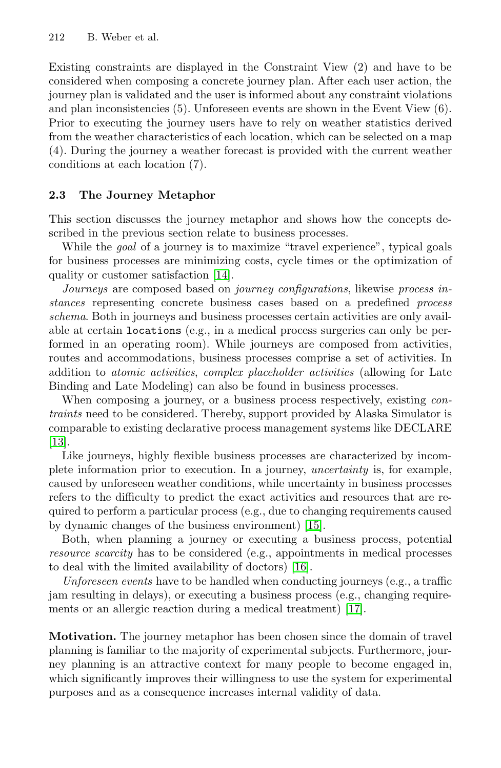<span id="page-7-0"></span>Existing constraints are displayed in the Constraint View (2) and have to be considered when composing a concrete journey plan. After each user action, the journey plan is validated and the user is informed about any constraint violations and plan inconsistencies (5). Unforeseen events are shown in the Event View (6). Prior to executing the journey users have to rely on weather statistics derived from the weather characteristics of each location, which can be selected on a map (4). During the journey a weather forecast is provided with the current weather conditions at [eac](#page-15-5)h location (7).

### **2.3 The Journey Metaphor**

This section discusses the journey metaphor and shows how the concepts described in the previous section relate to business processes.

While the *goal* of a journey is to maximize "travel experience", typical goals for business processes are minimizing costs, cycle times or the optimization of quality or customer satisfaction [14].

*Journeys* are composed based on *journey configurations*, likewise *process instances* representing concrete business cases based on a predefined *process schema*. Both in journeys and business processes certain activities are only available at certain locations (e.g., in a medical process surgeries can only be performed in an operating room). While journeys are composed from activities, routes and accommodations, business processes comprise a set of activities. In addition to *atomic activities*, *complex placeholder activities* (allowing for Late Binding and Late Modeling) can also be found in business processes.

When composing a journey, or a business process respectively, existing *contraints* need to be considered. T[her](#page-15-6)eby, support provided by Alaska Simulator is comparable to existing declarative process management systems like DECLARE [13].

Like journeys, highly flexi[ble](#page-15-7) business processes are characterized by incomplete information prior to execution. In a journey, *uncertainty* is, for example, caused by unforeseen weather conditions, while uncertainty in business processes refers to the difficulty to predict the ex[act](#page-15-8) activities and resources that are required to perform a particular process (e.g., due to changing requirements caused by dynamic changes of the business environment) [15].

Both, when planning a journey or executing a business process, potential *resource scarcity* has to be considered (e.g., appointments in medical processes to deal with the limited availability of doctors) [16].

*Unforeseen events* have to be handled when conducting journeys (e.g., a traffic jam resulting in delays), or executing a business process (e.g., changing requirements or an allergic reaction during a medical treatment) [17].

**Motivation.** The journey metaphor has been chosen since the domain of travel planning is familiar to the majority of experimental subjects. Furthermore, journey planning is an attractive context for many people to become engaged in, which significantly improves their willingness to use the system for experimental purposes and as a consequence increases internal validity of data.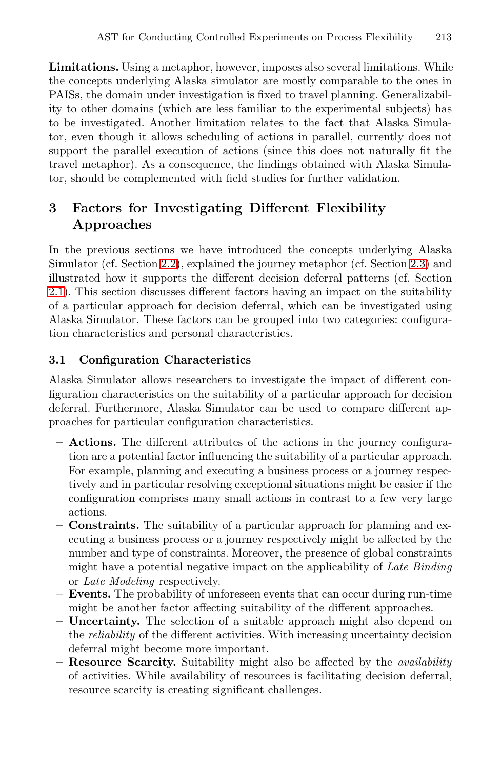Limitations. Using a metaphor, however, imposes also several limitations. While the concepts underlying Alaska simulator are mostly comparable to the ones in PAISs, the domain under investigation is fixed to travel planning. Generalizability to other domains (which are less familiar to the experimental subjects) has to be investigated. Another limitation relates to the fact that Alaska Simulator, even though it allows scheduling of actions in parallel, currently does not su[ppor](#page-3-0)t the parallel execution of actions (since thi[s do](#page-7-0)es not naturally fit the travel metaphor). As a consequence, the findings obtained with Alaska Simulator, should be complemented with field studies for further validation.

# **3 Factors for Investigating Different Flexibility Approaches**

In the previous sections we have introduced the concepts underlying Alaska Simulator (cf. Section 2.2), explained the journey metaphor (cf. Section 2.3) and illustrated how it supports the different decision deferral patterns (cf. Section 2.1). This section discusses different factors having an impact on the suitability of a particular approach for decision deferral, which can be investigated using Alaska Simulator. These factors can be grouped into two categories: configuration characteristics and personal characteristics.

### **3.1 Configuration Characteristics**

Alaska Simulator allows researchers to investigate the impact of different configuration characteristics on the suitability of a particular approach for decision deferral. Furthermore, Alaska Simulator can be used to compare different approaches for particular configuration characteristics.

- **Actions.** The different attributes of the actions in the journey configuration are a potential factor influencing the suitability of a particular approach. For example, planning and executing a business process or a journey respectively and in particular resolving exceptional situations might be easier if the configuration comprises many small actions in contrast to a few very large actions.
- **Constraints.** The suitability of a particular approach for planning and executing a business process or a journey respectively might be affected by the number and type of constraints. Moreover, the presence of global constraints might have a potential negative impact on the applicability of *Late Binding* or *Late Modeling* respectively.
- **Events.** The probability of unforeseen events that can occur during run-time might be another factor affecting suitability of the different approaches.
- **Uncertainty.** The selection of a suitable approach might also depend on the *reliability* of the different activities. With increasing uncertainty decision deferral might become more important.
- **Resource Scarcity.** Suitability might also be affected by the *availability* of activities. While availability of resources is facilitating decision deferral, resource scarcity is creating significant challenges.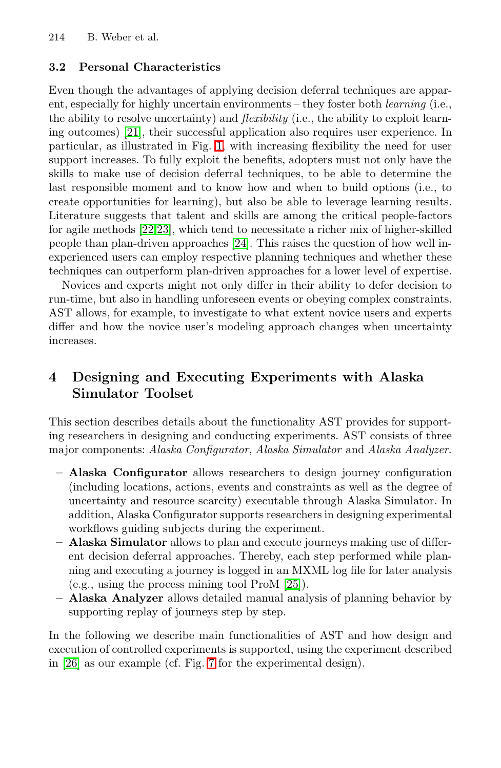### **3.2 Personal Characteristics**

Even though the advantages of applying decision deferral techniques are apparent, especially for highly uncertain environments – they foster both *learning* (i.e., [th](#page-15-9)[e ab](#page-15-10)ility to resolve uncertainty) and *flexibility* (i.e., the ability to exploit learning outcomes) [2[1\], t](#page-15-11)heir successful application also requires user experience. In particular, as illustrated in Fig. 1, with increasing flexibility the need for user support increases. To fully exploit the benefits, adopters must not only have the skills to make use of decision deferral techniques, to be able to determine the last responsible moment and to know how and when to build options (i.e., to create opportunities for learning), but also be able to leverage learning results. Literature suggests that talent and skills are among the critical people-factors for agile methods [22,23], which tend to necessitate a richer mix of higher-skilled people than plan-driven approaches [24]. This raises the question of how well inexperienced users can employ respective planning techniques and whether these techniques can outperform plan-driven approaches for a lower level of expertise.

Novices and experts might not only differ in their ability to defer decision to run-time, but also in handling unforeseen events or obeying complex constraints. AST allows, for example, to investigate to what extent novice users and experts differ and how the novice user's modeling approach changes when uncertainty increases.

# **4 Designing and Executing Experiments with Alaska Simulator Toolset**

This section describes details about the functionality AST provides for supporting researchers in designing and conducting experiments. AST consists of three major components: *Alaska Configurator*, *Alaska Simulator* and *Alaska Analyzer*.

- **Alaska Configurator** [all](#page-15-12)ows researchers to design journey configuration (including locations, actions, events and constraints as well as the degree of uncertainty and resource scarcity) executable through Alaska Simulator. In addition, Alaska Configurator supports researchers in designing experimental workflows guiding subjects during the experiment.
- **Alaska Simulator** allows to plan and execute journeys making use of different deci[sio](#page-10-0)n deferral approaches. Thereby, each step performed while planning and executing a journey is logged in an MXML log file for later analysis (e.g., using the process mining tool ProM [25]).
- **Alaska Analyzer** allows detailed manual analysis of planning behavior by supporting replay of journeys step by step.

In the following we describe main functionalities of AST and how design and execution of controlled experiments is supported, using the experiment described in [26] as our example (cf. Fig. 7 for the experimental design).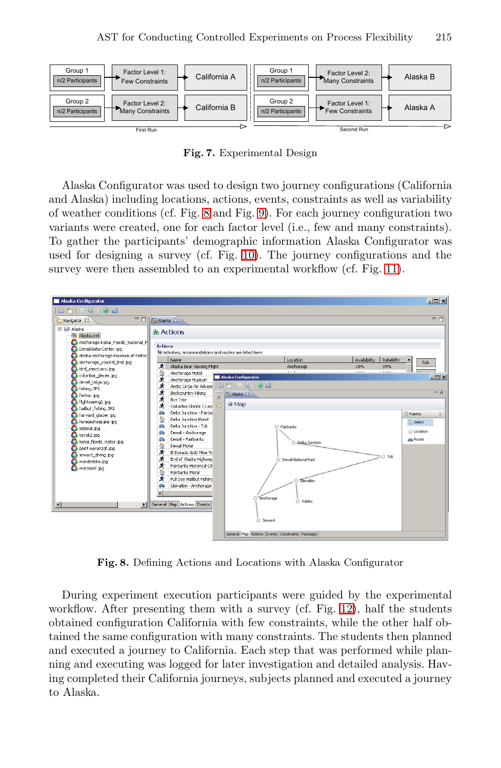<span id="page-10-0"></span>

**Fig. 7.** Experimental [Des](#page-12-0)ign

Alaska Configurator was used to design two journey configurations (California and Alaska) including locations, actions, events, constraints as well as variability of weather conditions (cf. Fig. 8 and Fig. 9). For each journey configuration two variants were created, one for each factor level (i.e., few and many constraints). To gather the participants' demographic information Alaska Configurator was used for designing a survey (cf. Fig. 10). The journey configurations and the survey were then assembled to an experimental workflow (cf. Fig. 11).



**Fig. 8.** Defining Actions and Locations with Alaska Configurator

During experiment execution participants were guided by the experimental workflow. After presenting them with a survey (cf. Fig. 12), half the students obtained configuration California with few constraints, while the other half obtained the same configuration with many constraints. The students then planned and executed a journey to California. Each step that was performed while planning and executing was logged for later investigation and detailed analysis. Having completed their California journeys, subjects planned and executed a journey to Alaska.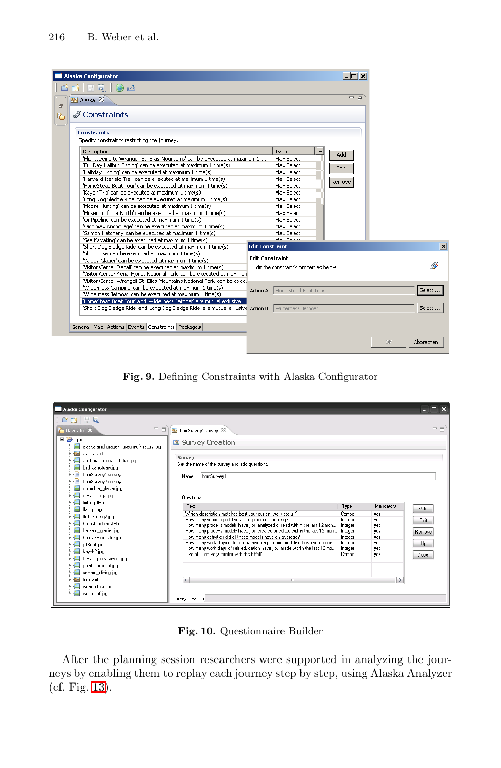

**Fig. 9.** Defining Constraints with Alaska Configurator

<span id="page-11-0"></span>

| Alaska Configurator                                                                                                                                                                                                                                                                                                                                      |                                                                                                                                                                                                                                                                                                                                                                                                                                                                                 |                                     |                                               | $  \times$                       |
|----------------------------------------------------------------------------------------------------------------------------------------------------------------------------------------------------------------------------------------------------------------------------------------------------------------------------------------------------------|---------------------------------------------------------------------------------------------------------------------------------------------------------------------------------------------------------------------------------------------------------------------------------------------------------------------------------------------------------------------------------------------------------------------------------------------------------------------------------|-------------------------------------|-----------------------------------------------|----------------------------------|
| 61 F Q                                                                                                                                                                                                                                                                                                                                                   |                                                                                                                                                                                                                                                                                                                                                                                                                                                                                 |                                     |                                               |                                  |
| $=$ $-$<br>Navigator X                                                                                                                                                                                                                                                                                                                                   | bpmSurvey1.survey 23                                                                                                                                                                                                                                                                                                                                                                                                                                                            |                                     |                                               |                                  |
| $\Box$ $\ominus$ bpm<br>alaska-anchorage-museum-of-history.jpg<br><b>Ra</b> alaska xml<br>anchorage_coastal_trail.jpg<br>bird sanctuary.jpg<br>bpmSurvey1.survey<br>bpmSurvey2.survey<br>columbia glacier.ipg<br>denali_taiga.jpg<br>fishing.JPG<br>flattop.jpg<br>flightseeing2.jpg<br>hailbut fishing.JPG<br>harvard glacier.jpg<br>horeseshoeLake.jpg | Survey Creation<br>Survey<br>Set the name of the survey and add questions.<br>bpmSurvey1<br>Name:<br>Questions:<br>Text<br>Which description matches best your current work status?<br>How many years ago did you start process modeling?<br>How many process models have you analyzed or read within the last 12 mon Integer<br>How many process models have you created or edited within the last 12 mon Integer<br>How many activities did all these models have on average? | Type<br>Combo<br>Integer<br>Integer | Mandatory<br>ves<br>yes.<br>ves<br>ves<br>ves | $=$ $=$<br>Add<br>Edit<br>Remove |
| ietBoat.ipg<br>kayak2.jpg<br>kenai fjords visitor.jpg<br>point woronzof.jpg<br>seward diving.jpg<br>tyrol.xml<br>wonderlake.jpg<br>woronzof.jpg                                                                                                                                                                                                          | How many work days of formal training on process modeling have you receiv Integer<br>How many work days of self education have you made within the last 12 mo<br>Overall, I am very familiar with the BPMN.<br>$\leq$<br>IIII.<br>Survey Creation                                                                                                                                                                                                                               | Integer<br>Combo                    | yes<br>ves<br>yes.<br>$\rightarrow$           | Up.<br>Down.                     |

**Fig. 10.** Questionnaire Builder

After the planning session researchers were supported in analyzing the journeys by enabling them to replay each journey step by step, using Alaska Analyzer (cf. Fig. 13).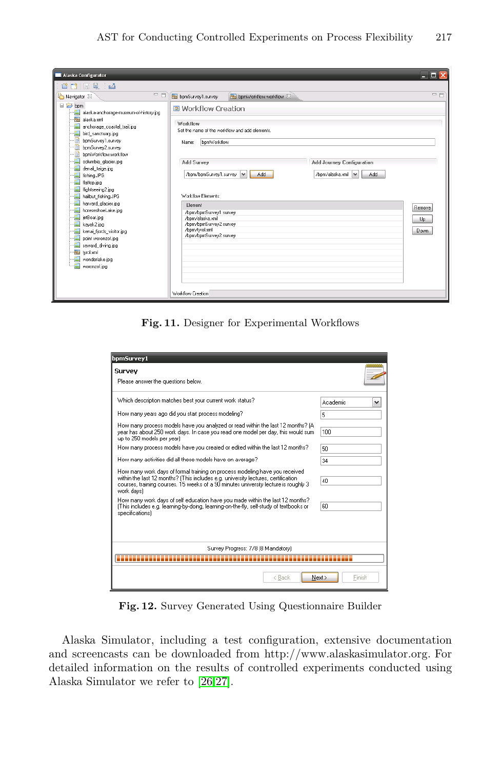| Alaska Configurator                                                                                                                                                                                                                                                                                                                                                                                                                                                                                                               |                                                                                                                                                                                                                                                                                                                                                |                                                                     | $ \Box$ $\times$      |
|-----------------------------------------------------------------------------------------------------------------------------------------------------------------------------------------------------------------------------------------------------------------------------------------------------------------------------------------------------------------------------------------------------------------------------------------------------------------------------------------------------------------------------------|------------------------------------------------------------------------------------------------------------------------------------------------------------------------------------------------------------------------------------------------------------------------------------------------------------------------------------------------|---------------------------------------------------------------------|-----------------------|
| ti di R<br>圆<br>凸                                                                                                                                                                                                                                                                                                                                                                                                                                                                                                                 |                                                                                                                                                                                                                                                                                                                                                |                                                                     |                       |
| - 0<br>Navigator 23                                                                                                                                                                                                                                                                                                                                                                                                                                                                                                               | bpmWorkflow.workflow 23<br>bpmSurvey1.survey                                                                                                                                                                                                                                                                                                   |                                                                     | $=$ $F$               |
| $\Box$ $\ominus$ bpm<br>alaska-anchorage-museum-of-history.jpg<br>alaska.xml<br>anchorage_coastal_trail.jpg<br>bird_sanctuary.jpg<br>bpmSurvey1.survey<br>bpmSurvey2.survey<br>bpmWorkflow.workflow<br>columbia_glacier.jpg<br>denali_taiga.jpg<br>fishing.JPG<br>flattop.jpg<br>flightseeing2.jpg<br>hailbut_fishing.JPG<br>harvard_glacier.jpg<br>horeseshoeLake.jpg<br>jetBoat.jpg<br>kayak2.jpg<br>kenai_fjords_visitor.jpg<br>point woronzof.jpg<br>seward_diving.jpg<br><b>No. of Ref</b><br>wonderlake.ipg<br>woronzof.ipg | Workflow Creation<br>Workflow<br>Set the name of the workflow and add elements<br>bpmWorkflow<br>Name:<br>Add Survey<br>/bpm/bpmSurvey1.survey<br>Add<br>$\checkmark$<br>Workflow Elements:<br>Element<br>/bpm/bpmSurvey1.survey<br>/bpm/alaska.xml<br>/bpm/bpmSurvey2.survey<br>/bpm/tyrol.xml<br>/bpm/bpmSurvey2.survey<br>Workflow Creation | Add Journey Configuration<br>/bpm/alaska.xml<br>Add<br>$\checkmark$ | Remove<br>Up.<br>Down |
|                                                                                                                                                                                                                                                                                                                                                                                                                                                                                                                                   |                                                                                                                                                                                                                                                                                                                                                |                                                                     |                       |

AST for Conducting Controlled Experiments on Process Flexibility 217

<span id="page-12-0"></span>**Fig. 11.** Designer for Experimental Workflows

| bpmSurvey1                                                                                                                                                                                                                                                            |                      |
|-----------------------------------------------------------------------------------------------------------------------------------------------------------------------------------------------------------------------------------------------------------------------|----------------------|
| Survey                                                                                                                                                                                                                                                                |                      |
| Please answer the questions below.                                                                                                                                                                                                                                    |                      |
| Which description matches best your current work status?                                                                                                                                                                                                              | <b>Academic</b><br>v |
| How many years ago did you start process modeling?                                                                                                                                                                                                                    | 5                    |
| How many process models have you analyzed or read within the last 12 months? [A]<br>year has about 250 work days. In case you read one model per day, this would sum<br>up to 250 models per year)                                                                    | 100                  |
| How many process models have you created or edited within the last 12 months?                                                                                                                                                                                         | 50                   |
| How many activities did all these models have on average?                                                                                                                                                                                                             | 34                   |
| How many work days of formal training on process modeling have you received<br>within the last 12 months? (This includes e.g. university lectures, certification<br>courses, training courses, 15 weeks of a 90 minutes university lecture is roughly 3<br>work davs) | 40                   |
| How many work days of self education have you made within the last 12 months?<br>(This includes e.g. learning-by-doing, learning-on-the-fly, self-study of textbooks or<br>specifications)                                                                            | 60                   |
| Survey Progress: 7/8 (8 Mandatory)                                                                                                                                                                                                                                    |                      |
|                                                                                                                                                                                                                                                                       |                      |
| < Back                                                                                                                                                                                                                                                                | Finish<br>Next >     |

**Fig. 12.** Survey Generated Using Questionnaire Builder

Alaska Simulator, including a test configuration, extensive documentation and screencasts can be downloaded from http://www.alaskasimulator.org. For detailed information on the results of controlled experiments conducted using Alaska Simulator we refer to [26,27].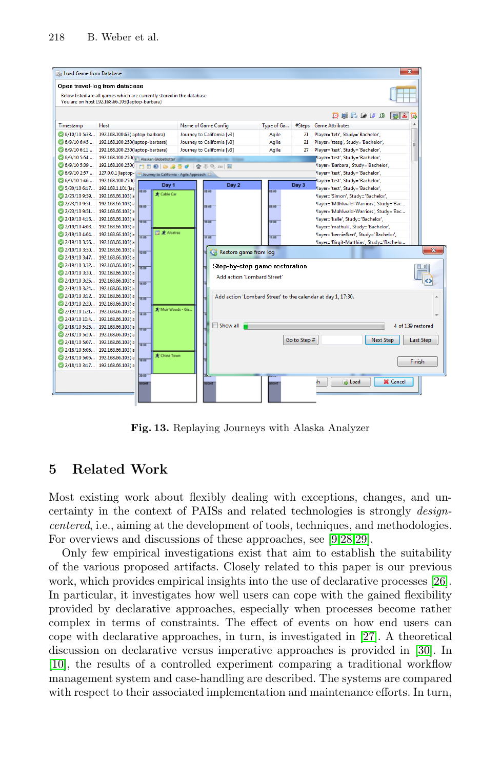

**Fig. 13.** Replaying J[our](#page-15-2)[ne](#page-15-13)[ys w](#page-16-1)ith Alaska Analyzer

# <span id="page-13-0"></span>**5 Related Work**

Most existing work about flexibly dealing with exceptions, changes, and uncertainty in the context of PAISs and related technologies is strongly *designcentered*, i.e., aiming at the development of [too](#page-15-14)ls, techniques, and methodologies. For overviews and discussions of these approaches, se[e \[9](#page-16-2),28,29].

Only few empirical investigations exist that aim to establish the suitability of the various proposed artifacts. Closely related to this paper is our previous work, which provides empirical insights into the use of declarative processes [26]. In particular, it investigates how well users can cope with the gained flexibility provided by declarative approaches, especially when processes become rather complex in terms of constraints. The effect of events on how end users can cope with declarative approaches, in turn, is investigated in [27]. A theoretical discussion on declarative versus imperative approaches is provided in [30]. In [10], the results of a controlled experiment comparing a traditional workflow management system and case-handling are described. The systems are compared with respect to their associated implementation and maintenance efforts. In turn,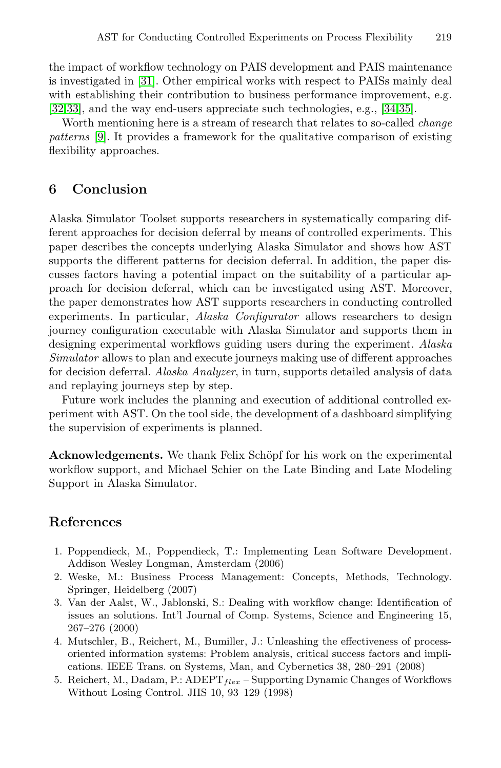<span id="page-14-3"></span>the impact of workflow technology on PAIS development and PAIS maintenance is investigated in [31]. Other empirical works with respect to PAISs mainly deal with establishing their contribution to business performance improvement, e.g. [32,33], and the way end-users appreciate such technologies, e.g., [34,35].

Worth mentioning here is a stream of research that relates to so-called *change patterns* [9]. It provides a framework for the qualitative comparison of existing flexibility approaches.

# **6 Conclusion**

Alaska Simulator Toolset supports researchers in systematically comparing different approaches for decision deferral by means of controlled experiments. This paper describes the concepts underlying Alaska Simulator and shows how AST supports the different patterns for decision deferral. In addition, the paper discusses factors having a potential impact on the suitability of a particular approach for decision deferral, which can be investigated using AST. Moreover, the paper demonstrates how AST supports researchers in conducting controlled experiments. In particular, *Alaska Configurator* allows researchers to design journey configuration executable with Alaska Simulator and supports them in designing experimental workflows guiding users during the experiment. *Alaska Simulator* allows to plan and execute journeys making use of different approaches for decision deferral. *Alaska Analyzer*, in turn, supports detailed analysis of data and replaying journeys step by step.

Future work includes the planning and execution of additional controlled experiment with AST. On the tool side, the development of a dashboard simplifying the supervision of experiments is planned.

<span id="page-14-1"></span>Acknowledgements. We thank Felix Schöpf for his work on the experimental workflow support, and Michael Schier on the Late Binding and Late Modeling Support in Alaska Simulator.

# <span id="page-14-0"></span>**References**

- 1. Poppendieck, M., Poppendieck, T.: Implementing Lean Software Development. Addison Wesley Longman, Amsterdam (2006)
- <span id="page-14-2"></span>2. Weske, M.: Business Process Management: Concepts, Methods, Technology. Springer, Heidelberg (2007)
- 3. Van der Aalst, W., Jablonski, S.: Dealing with workflow change: Identification of issues an solutions. Int'l Journal of Comp. Systems, Science and Engineering 15, 267–276 (2000)
- 4. Mutschler, B., Reichert, M., Bumiller, J.: Unleashing the effectiveness of processoriented information systems: Problem analysis, critical success factors and implications. IEEE Trans. on Systems, Man, and Cybernetics 38, 280–291 (2008)
- 5. Reichert, M., Dadam, P.: ADEPT*f lex* Supporting Dynamic Changes of Workflows Without Losing Control. JIIS 10, 93–129 (1998)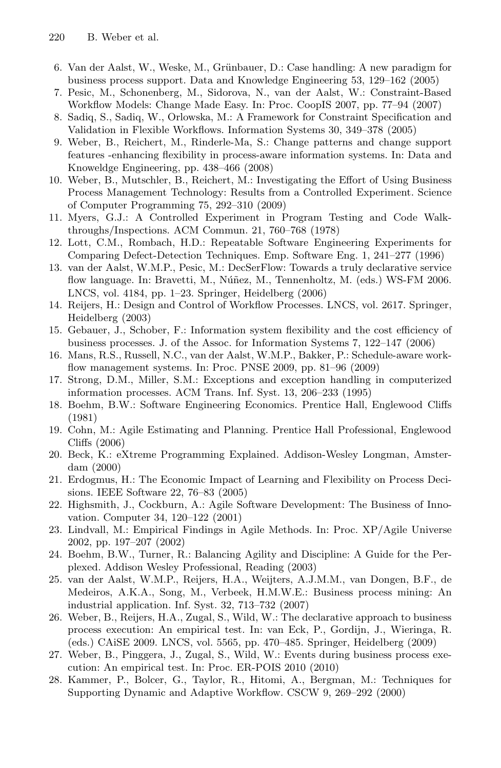- <span id="page-15-0"></span>6. Van der Aalst, W., Weske, M., Grünbauer, D.: Case handling: A new paradigm for business process support. Data and Knowledge Engineering 53, 129–162 (2005)
- 7. Pesic, M., Schonenberg, M., Sidorova, N., van der Aalst, W.: Constraint-Based Workflow Models: Change Made Easy. In: Proc. CoopIS 2007, pp. 77–94 (2007)
- <span id="page-15-1"></span>8. Sadiq, S., Sadiq, W., Orlowska, M.: A Framework for Constraint Specification and Validation in Flexible Workflows. Information Systems 30, 349–378 (2005)
- <span id="page-15-2"></span>9. Weber, B., Reichert, M., Rinderle-Ma, S.: Change patterns and change support features -enhancing flexibility in process-aware information systems. In: Data and Knoweldge Engineering, pp. 438–466 (2008)
- 10. Weber, B., Mutschler, B., Reichert, M.: Investigating the Effort of Using Business Process Management Technology: Results from a Controlled Experiment. Science of Computer Programming 75, 292–310 (2009)
- 11. Myers, G.J.: A Controlled Experiment in Program Testing and Code Walkthroughs/Inspections. ACM Commun. 21, 760–768 (1978)
- 12. Lott, C.M., Rombach, H.D.: Repeatable Software Engineering Experiments for Comparing Defect-Detection Techniques. Emp. Software Eng. 1, 241–277 (1996)
- 13. van der Aalst, W.M.P., Pesic, M.: DecSerFlow: Towards a truly declarative service flow language. In: Bravetti, M., Núñez, M., Tennenholtz, M. (eds.) WS-FM 2006. LNCS, vol. 4184, pp. 1–23. Springer, Heidelberg (2006)
- <span id="page-15-5"></span>14. Reijers, H.: Design and Control of Workflow Processes. LNCS, vol. 2617. Springer, Heidelberg (2003)
- <span id="page-15-6"></span>15. Gebauer, J., Schober, F.: Information system flexibility and the cost efficiency of business processes. J. of the Assoc. for Information Systems 7, 122–147 (2006)
- <span id="page-15-7"></span>16. Mans, R.S., Russell, N.C., van der Aalst, W.M.P., Bakker, P.: Schedule-aware workflow management systems. In: Proc. PNSE 2009, pp. 81–96 (2009)
- <span id="page-15-8"></span>17. Strong, D.M., Miller, S.M.: Exceptions and exception handling in computerized information processes. ACM Trans. Inf. Syst. 13, 206–233 (1995)
- <span id="page-15-3"></span>18. Boehm, B.W.: Software Engineering Economics. Prentice Hall, Englewood Cliffs (1981)
- <span id="page-15-4"></span>19. Cohn, M.: Agile Estimating and Planning. Prentice Hall Professional, Englewood Cliffs (2006)
- 20. Beck, K.: eXtreme Programming Explained. Addison-Wesley Longman, Amsterdam (2000)
- 21. Erdogmus, H.: The Economic Impact of Learning and Flexibility on Process Decisions. IEEE Software 22, 76–83 (2005)
- <span id="page-15-9"></span>22. Highsmith, J., Cockburn, A.: Agile Software Development: The Business of Innovation. Computer 34, 120–122 (2001)
- <span id="page-15-10"></span>23. Lindvall, M.: Empirical Findings in Agile Methods. In: Proc. XP/Agile Universe 2002, pp. 197–207 (2002)
- <span id="page-15-11"></span>24. Boehm, B.W., Turner, R.: Balancing Agility and Discipline: A Guide for the Perplexed. Addison Wesley Professional, Reading (2003)
- <span id="page-15-12"></span>25. van der Aalst, W.M.P., Reijers, H.A., Weijters, A.J.M.M., van Dongen, B.F., de Medeiros, A.K.A., Song, M., Verbeek, H.M.W.E.: Business process mining: An industrial application. Inf. Syst. 32, 713–732 (2007)
- 26. Weber, B., Reijers, H.A., Zugal, S., Wild, W.: The declarative approach to business process execution: An empirical test. In: van Eck, P., Gordijn, J., Wieringa, R. (eds.) CAiSE 2009. LNCS, vol. 5565, pp. 470–485. Springer, Heidelberg (2009)
- <span id="page-15-14"></span>27. Weber, B., Pinggera, J., Zugal, S., Wild, W.: Events during business process execution: An empirical test. In: Proc. ER-POIS 2010 (2010)
- <span id="page-15-13"></span>28. Kammer, P., Bolcer, G., Taylor, R., Hitomi, A., Bergman, M.: Techniques for Supporting Dynamic and Adaptive Workflow. CSCW 9, 269–292 (2000)